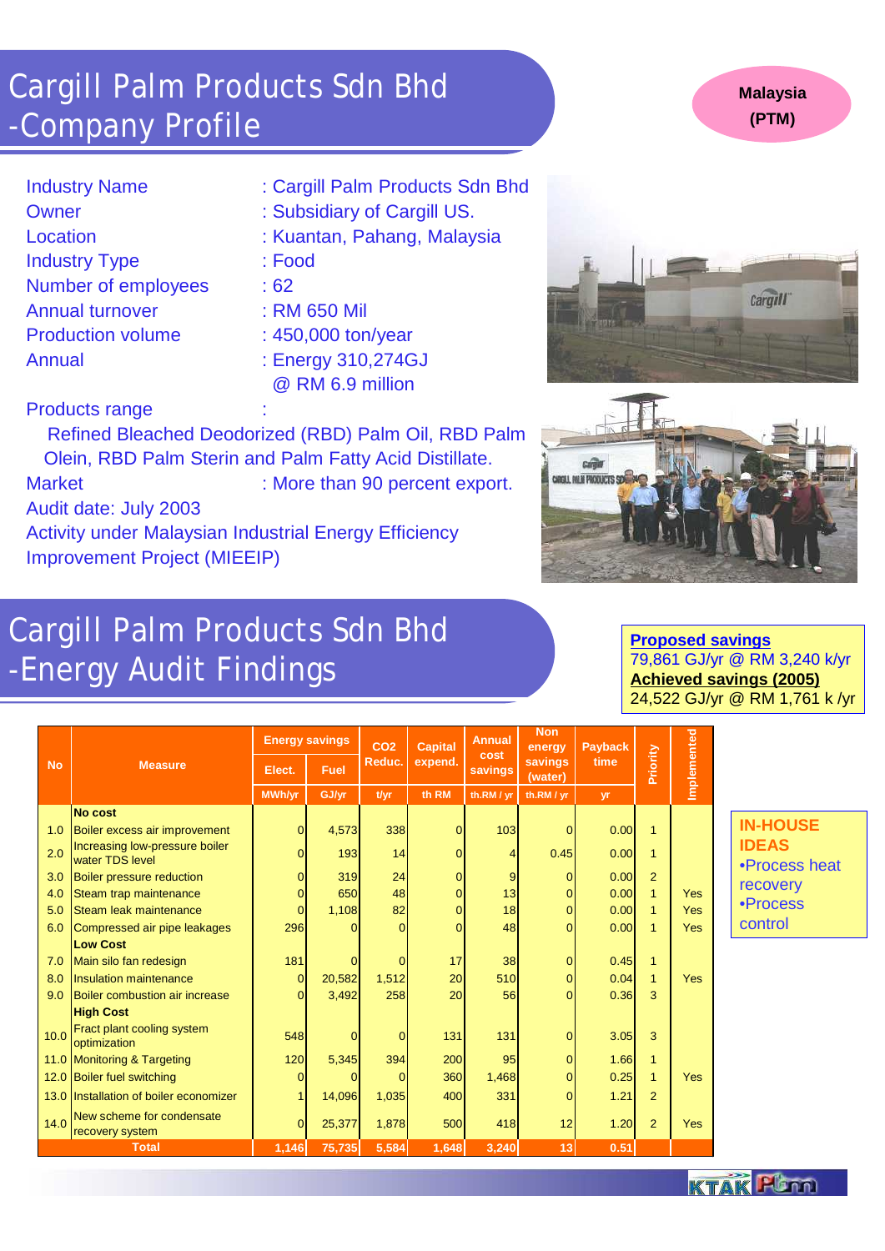- 
- 
- Industry Type : Food
- Number of employees : 62
- 
- 
- : Cargill Palm Products Sdn Bhd
- Owner : Subsidiary of Cargill US.
- Location : Kuantan, Pahang, Malaysia
	-
	-
- Annual turnover : RM 650 Mil
- Production volume : 450,000 ton/year
- Annual : Energy 310,274GJ @ RM 6.9 million

### Products range

Activity under Malaysian Industrial Energy Efficiency Improvement Project (MIEEIP)





Refined Bleached Deodorized (RBD) Palm Oil, RBD Palm Olein, RBD Palm Sterin and Palm Fatty Acid Distillate. Market : More than 90 percent export. Audit date: July 2003

## Cargill Palm Products Sdn Bhd -Company Profile

## Cargill Palm Products Sdn Bhd -Energy Audit Findings

**Proposed savings** 79,861 GJ/yr @ RM 3,240 k/yr **Achieved savings (2005)** 24,522 GJ/yr @ RM 1,761 k /yr

|           | <b>Measure</b>                                    | <b>Energy savings</b> |                | CO <sub>2</sub> | <b>Capital</b> | <b>Annual</b>          | <b>Non</b><br>energy | <b>Payback</b> |                 |             |  |
|-----------|---------------------------------------------------|-----------------------|----------------|-----------------|----------------|------------------------|----------------------|----------------|-----------------|-------------|--|
| <b>No</b> |                                                   | Elect.                | <b>Fuel</b>    | Reduc.          | expend.        | cost<br><b>savings</b> | savings<br>(water)   | time           | <b>Priority</b> | Implemented |  |
|           |                                                   | <b>MWh/yr</b>         | GJ/yr          | t/yr            | th RM          | th.RM / yr             | th.RM / yr           | yr             |                 |             |  |
|           | <b>No cost</b>                                    |                       |                |                 |                |                        |                      |                |                 |             |  |
| 1.0       | Boiler excess air improvement                     | $\mathbf 0$           | 4,573          | 338             | 0              | 103                    | 0                    | 0.00           | 1               |             |  |
| 2.0       | Increasing low-pressure boiler<br>water TDS level | $\mathbf 0$           | 193            | 14              | 0              | 4                      | 0.45                 | 0.00           | 1               |             |  |
| 3.0       | <b>Boiler pressure reduction</b>                  | 0                     | 319            | 24              | 0              | 9                      | 0                    | 0.00           | $\overline{2}$  |             |  |
| 4.0       | Steam trap maintenance                            | $\overline{0}$        | 650            | 48              | 0              | 13                     |                      | 0.00           | $\mathbf{1}$    | <b>Yes</b>  |  |
| 5.0       | Steam leak maintenance                            | $\overline{0}$        | 1,108          | 82              | 0              | 18                     |                      | 0.00           | $\mathbf{1}$    | <b>Yes</b>  |  |
| 6.0       | Compressed air pipe leakages                      | 296                   | 0              | $\Omega$        | 0              | 48                     | $\overline{0}$       | 0.00           | $\mathbf{1}$    | <b>Yes</b>  |  |
|           | <b>Low Cost</b>                                   |                       |                |                 |                |                        |                      |                |                 |             |  |
| 7.0       | Main silo fan redesign                            | 181                   | $\overline{0}$ | $\overline{0}$  | 17             | 38                     | $\overline{0}$       | 0.45           | $\overline{1}$  |             |  |
| 8.0       | <b>Insulation maintenance</b>                     | $\mathbf 0$           | 20,582         | 1,512           | 20             | 510                    | $\overline{0}$       | 0.04           | $\mathbf{1}$    | Yes         |  |
| 9.0       | Boiler combustion air increase                    | $\Omega$              | 3,492          | 258             | 20             | 56                     | $\Omega$             | 0.36           | 3               |             |  |
|           | <b>High Cost</b>                                  |                       |                |                 |                |                        |                      |                |                 |             |  |
| 10.0      | Fract plant cooling system<br>optimization        | 548                   | $\overline{0}$ | $\overline{0}$  | 131            | 131                    | $\overline{0}$       | 3.05           | 3               |             |  |
|           | 11.0 Monitoring & Targeting                       | 120                   | 5,345          | 394             | 200            | 95                     | $\overline{0}$       | 1.66           | $\mathbf{1}$    |             |  |
|           | 12.0 Boiler fuel switching                        | 0                     | 0              | $\Omega$        | 360            | 1,468                  | 0                    | 0.25           | $\mathbf{1}$    | Yes         |  |
|           | 13.0 Installation of boiler economizer            | 1                     | 14,096         | 1,035           | 400            | 331                    | $\overline{0}$       | 1.21           | $\overline{2}$  |             |  |
| 14.0      | New scheme for condensate<br>recovery system      | $\overline{0}$        | 25,377         | 1,878           | 500            | 418                    | 12                   | 1.20           | $\overline{2}$  | <b>Yes</b>  |  |
|           | <b>Total</b>                                      | 1,146                 | 75,735         | 5,584           | 1,648          | 3,240                  | 13                   | 0.51           |                 |             |  |

#### **IN-HOUSE IDEAS** •Process heat recovery •Process control



#### **Malaysia (PTM)**

| <b>Industry Name</b> |  |
|----------------------|--|
|----------------------|--|